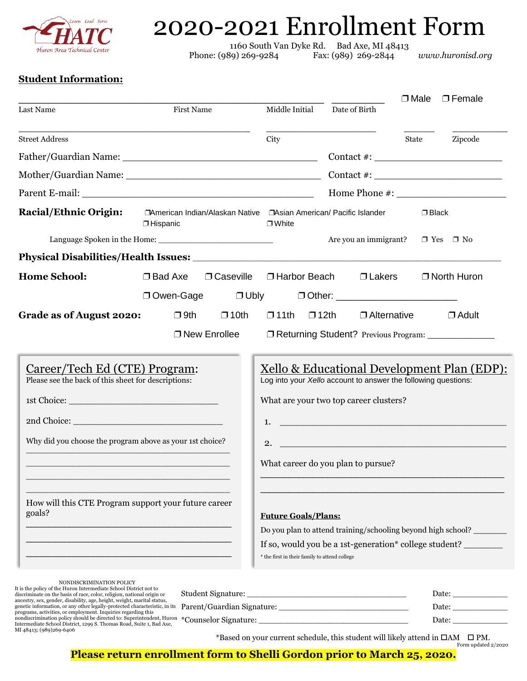

# 2020-2021 Enrollment Form

1160 South Van Dyke Rd. Bad Axe, MI 48413 Phone: (989) 269-9284 Fax: (989) 269-2844 *www.huronisd.org*

# **Student Information:**

| Last Name                                                                                                                                                               | First Name                                                                                                                                                                                            |                | Middle Initial                                                                                                                                                                                                                          | Date of Birth                                                                                      | $\Box$ Male | $\Box$ Female        |
|-------------------------------------------------------------------------------------------------------------------------------------------------------------------------|-------------------------------------------------------------------------------------------------------------------------------------------------------------------------------------------------------|----------------|-----------------------------------------------------------------------------------------------------------------------------------------------------------------------------------------------------------------------------------------|----------------------------------------------------------------------------------------------------|-------------|----------------------|
| <b>Street Address</b>                                                                                                                                                   |                                                                                                                                                                                                       |                | City                                                                                                                                                                                                                                    |                                                                                                    | State       | Zipcode              |
|                                                                                                                                                                         |                                                                                                                                                                                                       |                |                                                                                                                                                                                                                                         |                                                                                                    |             |                      |
|                                                                                                                                                                         |                                                                                                                                                                                                       |                |                                                                                                                                                                                                                                         |                                                                                                    |             | Contact $\#$ :       |
|                                                                                                                                                                         |                                                                                                                                                                                                       |                |                                                                                                                                                                                                                                         |                                                                                                    |             |                      |
| <b>Racial/Ethnic Origin:</b>                                                                                                                                            | $\Box$ Hispanic                                                                                                                                                                                       |                | □ White                                                                                                                                                                                                                                 | Home Phone #:<br>□American Indian/Alaskan Native □Asian American/ Pacific Islander<br>$\Box$ Black |             |                      |
|                                                                                                                                                                         |                                                                                                                                                                                                       |                |                                                                                                                                                                                                                                         | Are you an immigrant?                                                                              |             | $\Box$ Yes $\Box$ No |
|                                                                                                                                                                         |                                                                                                                                                                                                       |                |                                                                                                                                                                                                                                         |                                                                                                    |             |                      |
| <b>Home School:</b>                                                                                                                                                     | $\Box$ Bad Axe                                                                                                                                                                                        | □ Caseville    | □ Harbor Beach                                                                                                                                                                                                                          | $\Box$ Lakers                                                                                      |             | □ North Huron        |
|                                                                                                                                                                         |                                                                                                                                                                                                       |                |                                                                                                                                                                                                                                         |                                                                                                    |             |                      |
| Grade as of August 2020:                                                                                                                                                | $\square$ 9th                                                                                                                                                                                         | $\square$ 10th | $\square$ 11th $\square$ 12th                                                                                                                                                                                                           | $\Box$ Alternative                                                                                 |             | $\Box$ Adult         |
|                                                                                                                                                                         |                                                                                                                                                                                                       | □ New Enrollee |                                                                                                                                                                                                                                         | □ Returning Student? Previous Program: _______________                                             |             |                      |
| Career/Tech Ed (CTE) Program:<br>Please see the back of this sheet for descriptions:<br>Why did you choose the program above as your 1st choice?                        |                                                                                                                                                                                                       |                | <u>Xello &amp; Educational Development Plan (EDP):</u><br>Log into your Xello account to answer the following questions:<br>What are your two top career clusters?<br>1. $\overline{\phantom{a}}$<br>What career do you plan to pursue? |                                                                                                    |             |                      |
| How will this CTE Program support your future career<br>goals?                                                                                                          | <b>Future Goals/Plans:</b><br>Do you plan to attend training/schooling beyond high school?<br>If so, would you be a 1st-generation* college student?<br>* the first in their family to attend college |                |                                                                                                                                                                                                                                         |                                                                                                    |             |                      |
|                                                                                                                                                                         |                                                                                                                                                                                                       |                |                                                                                                                                                                                                                                         |                                                                                                    |             |                      |
| NONDISCRIMINATION POLICY<br>It is the policy of the Huron Intermediate School District not to<br>discriminate on the basis of race, color, religion, national origin or |                                                                                                                                                                                                       |                |                                                                                                                                                                                                                                         |                                                                                                    |             |                      |
| ancestry, sex, gender, disability, age, height, weight, marital status,<br>programs, activities, or employment. Inquiries regarding this                                |                                                                                                                                                                                                       |                |                                                                                                                                                                                                                                         |                                                                                                    |             |                      |
|                                                                                                                                                                         |                                                                                                                                                                                                       |                |                                                                                                                                                                                                                                         |                                                                                                    |             |                      |

MI 48413; (989)269-6406<br>MI 48413; (989)269-6406<br>MI 48413; (989)269-6406

\*Based on your current schedule, this student will likely attend in  $\Box$ AM  $\Box$  PM. Form updated 2/2020

**Please return enrollment form to Shelli Gordon prior to March 25, 2020.**